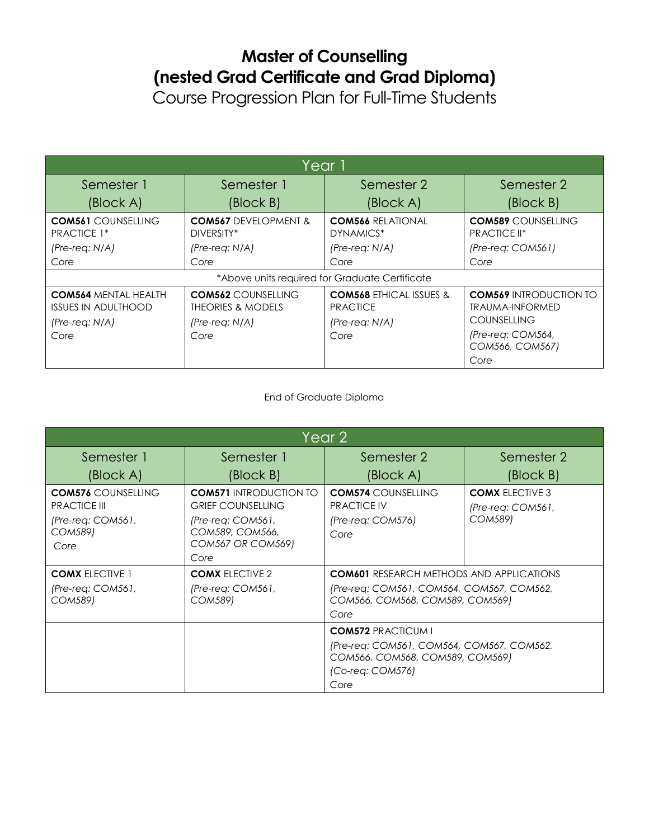## **Master of Counselling (nested Grad Certificate and Grad Diploma)**

Course Progression Plan for Full-Time Students

| Year 1                                                                        |                                                                               |                                                                           |                                                                               |  |
|-------------------------------------------------------------------------------|-------------------------------------------------------------------------------|---------------------------------------------------------------------------|-------------------------------------------------------------------------------|--|
| Semester 1                                                                    | Semester 1                                                                    | Semester 2                                                                | Semester 2                                                                    |  |
| (Block A)                                                                     | (Block B)                                                                     | (Block A)                                                                 | $\left(\frac{\text{Block}}{\text{}}\right)$                                   |  |
| <b>COM561 COUNSELLING</b><br><b>PRACTICE 1*</b>                               | <b>COM567 DEVELOPMENT &amp;</b><br>DIVERSITY*                                 | <b>COM566 RELATIONAL</b><br>DYNAMICS*                                     | <b>COM589 COUNSELLING</b><br>PRACTICE II*                                     |  |
| $(Pre-reg: N/A)$                                                              | $(Pre-reg: N/A)$                                                              | $(Pre-reg: N/A)$                                                          | $(Pre-reg: COM561)$                                                           |  |
| Core                                                                          | Core                                                                          | Core                                                                      | Core                                                                          |  |
| *Above units required for Graduate Certificate                                |                                                                               |                                                                           |                                                                               |  |
| <b>COM564 MENTAL HEALTH</b><br><b>ISSUES IN ADULTHOOD</b><br>$(Pre-reg: N/A)$ | <b>COM562 COUNSELLING</b><br><b>THEORIES &amp; MODELS</b><br>$(Pre-reg: N/A)$ | <b>COM568 ETHICAL ISSUES &amp;</b><br><b>PRACTICE</b><br>$(Pre-reg: N/A)$ | <b>COM569 INTRODUCTION TO</b><br><b>TRAUMA-INFORMED</b><br><b>COUNSELLING</b> |  |
| Core                                                                          | Core                                                                          | Core                                                                      | (Pre-req: COM564,<br>COM566, COM567)<br>Core                                  |  |

## End of Graduate Diploma

| Year 2                                                                                            |                                                                                                                                       |                                                                                                                                         |                                                        |  |
|---------------------------------------------------------------------------------------------------|---------------------------------------------------------------------------------------------------------------------------------------|-----------------------------------------------------------------------------------------------------------------------------------------|--------------------------------------------------------|--|
| Semester 1                                                                                        | Semester 1                                                                                                                            | Semester 2                                                                                                                              | Semester 2                                             |  |
| (Block A)                                                                                         | (Block B)                                                                                                                             | (Block A)                                                                                                                               | (Block B)                                              |  |
| <b>COM576 COUNSELLING</b><br><b>PRACTICE III</b><br>$(Pre-reg: COM561,$<br><b>COM589)</b><br>Core | <b>COM571 INTRODUCTION TO</b><br><b>GRIEF COUNSELLING</b><br>(Pre-req: COM561,<br>COM589, COM566,<br><b>COM567 OR COM569)</b><br>Core | <b>COM574 COUNSELLING</b><br><b>PRACTICE IV</b><br>(Pre-req: COM576)<br>Core                                                            | <b>COMX ELECTIVE 3</b><br>(Pre-req: COM561,<br>COM589) |  |
| <b>COMX ELECTIVE 1</b><br>$(Pre-reg: COM561,$<br><b>COM589)</b>                                   | <b>COMX ELECTIVE 2</b><br>(Pre-req: COM561,<br>COM589)                                                                                | <b>COM601 RESEARCH METHODS AND APPLICATIONS</b><br>(Pre-req: COM561, COM564, COM567, COM562,<br>COM566, COM568, COM589, COM569)<br>Core |                                                        |  |
|                                                                                                   |                                                                                                                                       | <b>COM572 PRACTICUM I</b><br>(Pre-req: COM561, COM564, COM567, COM562,<br>COM566, COM568, COM589, COM569)<br>(Co-req: COM576)<br>Core   |                                                        |  |